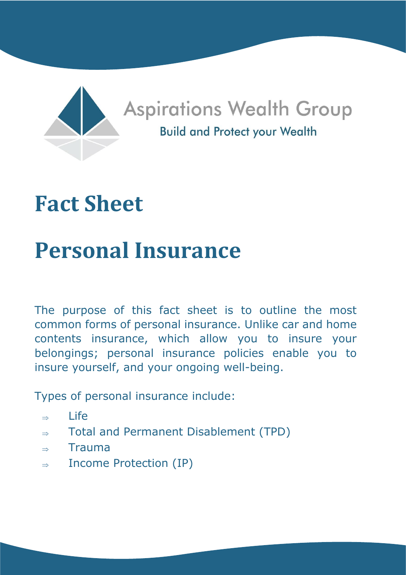

# **Fact Sheet**

# **Personal Insurance**

The purpose of this fact sheet is to outline the most common forms of personal insurance. Unlike car and home contents insurance, which allow you to insure your belongings; personal insurance policies enable you to insure yourself, and your ongoing well-being.

Types of personal insurance include:

- $\Rightarrow$  Life
- $\Rightarrow$  Total and Permanent Disablement (TPD)
- $\Rightarrow$  Trauma
- $\Rightarrow$  Income Protection (IP)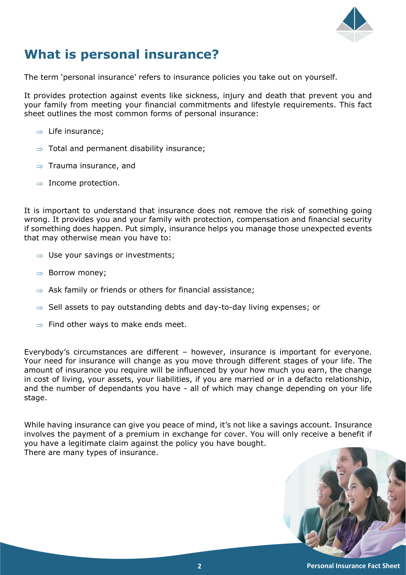

# **What is personal insurance?**

The term 'personal insurance' refers to insurance policies you take out on yourself.

It provides protection against events like sickness, injury and death that prevent you and your family from meeting your financial commitments and lifestyle requirements. This fact sheet outlines the most common forms of personal insurance:

- $\Rightarrow$  Life insurance;
- $\Rightarrow$  Total and permanent disability insurance;
- $\Rightarrow$  Trauma insurance, and
- $\Rightarrow$  Income protection.

It is important to understand that insurance does not remove the risk of something going wrong. It provides you and your family with protection, compensation and financial security if something does happen. Put simply, insurance helps you manage those unexpected events that may otherwise mean you have to:

- $\Rightarrow$  Use your savings or investments;
- $\Rightarrow$  Borrow money;
- $\Rightarrow$  Ask family or friends or others for financial assistance;
- $\Rightarrow$  Sell assets to pay outstanding debts and day-to-day living expenses; or
- $\Rightarrow$  Find other ways to make ends meet.

Everybody's circumstances are different – however, insurance is important for everyone. Your need for insurance will change as you move through different stages of your life. The amount of insurance you require will be influenced by your how much you earn, the change in cost of living, your assets, your liabilities, if you are married or in a defacto relationship, and the number of dependants you have - all of which may change depending on your life stage.

While having insurance can give you peace of mind, it's not like a savings account. Insurance involves the payment of a premium in exchange for cover. You will only receive a benefit if you have a legitimate claim against the policy you have bought. There are many types of insurance.

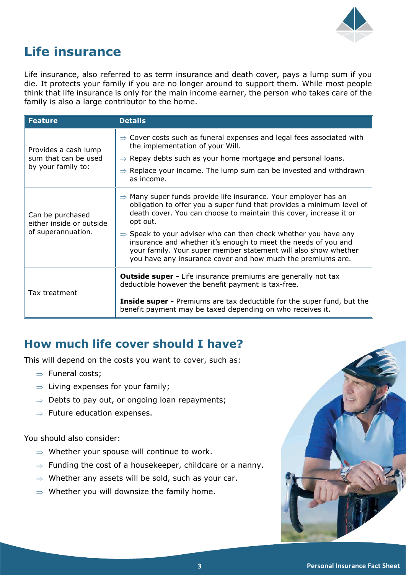

# **Life insurance**

Life insurance, also referred to as term insurance and death cover, pays a lump sum if you die. It protects your family if you are no longer around to support them. While most people think that life insurance is only for the main income earner, the person who takes care of the family is also a large contributor to the home.

| <b>Feature</b>                                                     | <b>Details</b>                                                                                                                                                                                                                                                                  |
|--------------------------------------------------------------------|---------------------------------------------------------------------------------------------------------------------------------------------------------------------------------------------------------------------------------------------------------------------------------|
| Provides a cash lump<br>sum that can be used<br>by your family to: | $\Rightarrow$ Cover costs such as funeral expenses and legal fees associated with<br>the implementation of your Will.                                                                                                                                                           |
|                                                                    | $\Rightarrow$ Repay debts such as your home mortgage and personal loans.                                                                                                                                                                                                        |
|                                                                    | $\Rightarrow$ Replace your income. The lump sum can be invested and withdrawn<br>as income.                                                                                                                                                                                     |
| Can be purchased<br>either inside or outside<br>of superannuation. | $\Rightarrow$ Many super funds provide life insurance. Your employer has an<br>obligation to offer you a super fund that provides a minimum level of<br>death cover. You can choose to maintain this cover, increase it or<br>opt out.                                          |
|                                                                    | $\Rightarrow$ Speak to your adviser who can then check whether you have any<br>insurance and whether it's enough to meet the needs of you and<br>your family. Your super member statement will also show whether<br>you have any insurance cover and how much the premiums are. |
| Tax treatment                                                      | <b>Outside super -</b> Life insurance premiums are generally not tax<br>deductible however the benefit payment is tax-free.                                                                                                                                                     |
|                                                                    | <b>Inside super -</b> Premiums are tax deductible for the super fund, but the<br>benefit payment may be taxed depending on who receives it.                                                                                                                                     |

# **How much life cover should I have?**

This will depend on the costs you want to cover, such as:

- $\Rightarrow$  Funeral costs;
- $\Rightarrow$  Living expenses for your family;
- $\Rightarrow$  Debts to pay out, or ongoing loan repayments;
- $\Rightarrow$  Future education expenses.

You should also consider:

- $\Rightarrow$  Whether your spouse will continue to work.
- $\Rightarrow$  Funding the cost of a housekeeper, childcare or a nanny.
- $\Rightarrow$  Whether any assets will be sold, such as your car.
- $\Rightarrow$  Whether you will downsize the family home.

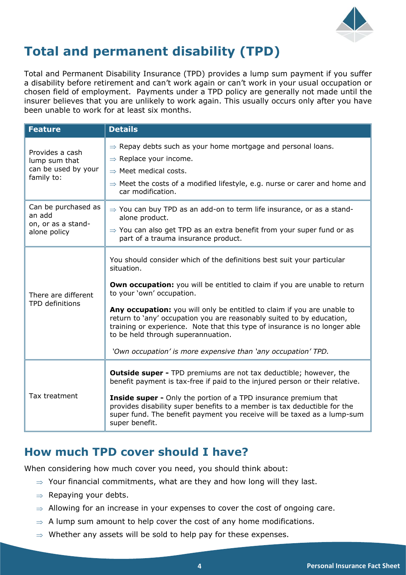

# **Total and permanent disability (TPD)**

Total and Permanent Disability Insurance (TPD) provides a lump sum payment if you suffer a disability before retirement and can't work again or can't work in your usual occupation or chosen field of employment. Payments under a TPD policy are generally not made until the insurer believes that you are unlikely to work again. This usually occurs only after you have been unable to work for at least six months.

| <b>Feature</b>                                                        | <b>Details</b>                                                                                                                                                                                                                                                                                                                                                                                                                                                                                                                                 |
|-----------------------------------------------------------------------|------------------------------------------------------------------------------------------------------------------------------------------------------------------------------------------------------------------------------------------------------------------------------------------------------------------------------------------------------------------------------------------------------------------------------------------------------------------------------------------------------------------------------------------------|
| Provides a cash<br>lump sum that<br>can be used by your<br>family to: | $\Rightarrow$ Repay debts such as your home mortgage and personal loans.<br>$\Rightarrow$ Replace your income.<br>$\Rightarrow$ Meet medical costs.<br>$\Rightarrow$ Meet the costs of a modified lifestyle, e.g. nurse or carer and home and<br>car modification.                                                                                                                                                                                                                                                                             |
| Can be purchased as<br>an add<br>on, or as a stand-<br>alone policy   | $\Rightarrow$ You can buy TPD as an add-on to term life insurance, or as a stand-<br>alone product.<br>$\Rightarrow$ You can also get TPD as an extra benefit from your super fund or as<br>part of a trauma insurance product.                                                                                                                                                                                                                                                                                                                |
| There are different<br>TPD definitions                                | You should consider which of the definitions best suit your particular<br>situation.<br><b>Own occupation:</b> you will be entitled to claim if you are unable to return<br>to your 'own' occupation.<br>Any occupation: you will only be entitled to claim if you are unable to<br>return to 'any' occupation you are reasonably suited to by education,<br>training or experience. Note that this type of insurance is no longer able<br>to be held through superannuation.<br>'Own occupation' is more expensive than 'any occupation' TPD. |
| Tax treatment                                                         | <b>Outside super - TPD premiums are not tax deductible; however, the</b><br>benefit payment is tax-free if paid to the injured person or their relative.<br><b>Inside super -</b> Only the portion of a TPD insurance premium that<br>provides disability super benefits to a member is tax deductible for the<br>super fund. The benefit payment you receive will be taxed as a lump-sum<br>super benefit.                                                                                                                                    |

#### **How much TPD cover should I have?**

When considering how much cover you need, you should think about:

- $\Rightarrow$  Your financial commitments, what are they and how long will they last.
- $\Rightarrow$  Repaying your debts.
- $\Rightarrow$  Allowing for an increase in your expenses to cover the cost of ongoing care.
- $\Rightarrow$  A lump sum amount to help cover the cost of any home modifications.
- $\Rightarrow$  Whether any assets will be sold to help pay for these expenses.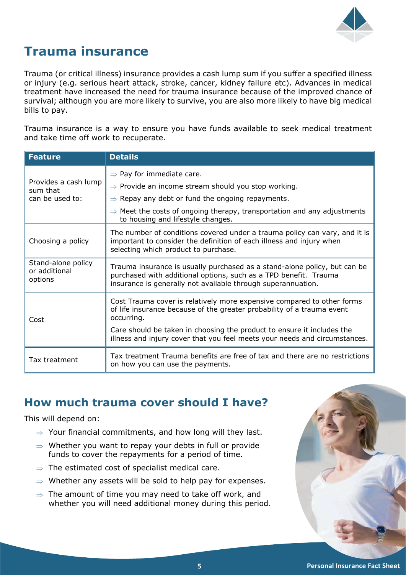

# **Trauma insurance**

Trauma (or critical illness) insurance provides a cash lump sum if you suffer a specified illness or injury (e.g. serious heart attack, stroke, cancer, kidney failure etc). Advances in medical treatment have increased the need for trauma insurance because of the improved chance of survival; although you are more likely to survive, you are also more likely to have big medical bills to pay.

Trauma insurance is a way to ensure you have funds available to seek medical treatment and take time off work to recuperate.

| <b>Feature</b>                                      | <b>Details</b>                                                                                                                                                                                                |
|-----------------------------------------------------|---------------------------------------------------------------------------------------------------------------------------------------------------------------------------------------------------------------|
| Provides a cash lump<br>sum that<br>can be used to: | $\Rightarrow$ Pay for immediate care.                                                                                                                                                                         |
|                                                     | $\Rightarrow$ Provide an income stream should you stop working.                                                                                                                                               |
|                                                     | $\Rightarrow$ Repay any debt or fund the ongoing repayments.                                                                                                                                                  |
|                                                     | $\Rightarrow$ Meet the costs of ongoing therapy, transportation and any adjustments<br>to housing and lifestyle changes.                                                                                      |
| Choosing a policy                                   | The number of conditions covered under a trauma policy can vary, and it is<br>important to consider the definition of each illness and injury when<br>selecting which product to purchase.                    |
| Stand-alone policy<br>or additional<br>options      | Trauma insurance is usually purchased as a stand-alone policy, but can be<br>purchased with additional options, such as a TPD benefit. Trauma<br>insurance is generally not available through superannuation. |
| Cost                                                | Cost Trauma cover is relatively more expensive compared to other forms<br>of life insurance because of the greater probability of a trauma event<br>occurring.                                                |
|                                                     | Care should be taken in choosing the product to ensure it includes the<br>illness and injury cover that you feel meets your needs and circumstances.                                                          |
| Tax treatment                                       | Tax treatment Trauma benefits are free of tax and there are no restrictions<br>on how you can use the payments.                                                                                               |

#### **How much trauma cover should I have?**

This will depend on:

- $\Rightarrow$  Your financial commitments, and how long will they last.
- $\Rightarrow$  Whether you want to repay your debts in full or provide funds to cover the repayments for a period of time.
- $\Rightarrow$  The estimated cost of specialist medical care.
- $\Rightarrow$  Whether any assets will be sold to help pay for expenses.
- $\Rightarrow$  The amount of time you may need to take off work, and whether you will need additional money during this period.

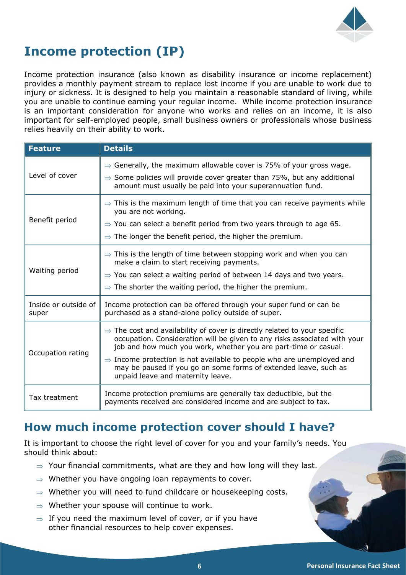

# **Income protection (IP)**

Income protection insurance (also known as disability insurance or income replacement) provides a monthly payment stream to replace lost income if you are unable to work due to injury or sickness. It is designed to help you maintain a reasonable standard of living, while you are unable to continue earning your regular income. While income protection insurance is an important consideration for anyone who works and relies on an income, it is also important for self-employed people, small business owners or professionals whose business relies heavily on their ability to work.

| <b>Feature</b>                | <b>Details</b>                                                                                                                                                                                                                                                                                                                                                                                                                      |
|-------------------------------|-------------------------------------------------------------------------------------------------------------------------------------------------------------------------------------------------------------------------------------------------------------------------------------------------------------------------------------------------------------------------------------------------------------------------------------|
| Level of cover                | $\Rightarrow$ Generally, the maximum allowable cover is 75% of your gross wage.<br>$\Rightarrow$ Some policies will provide cover greater than 75%, but any additional<br>amount must usually be paid into your superannuation fund.                                                                                                                                                                                                |
| Benefit period                | $\Rightarrow$ This is the maximum length of time that you can receive payments while<br>you are not working.<br>$\Rightarrow$ You can select a benefit period from two years through to age 65.<br>$\Rightarrow$ The longer the benefit period, the higher the premium.                                                                                                                                                             |
| Waiting period                | $\Rightarrow$ This is the length of time between stopping work and when you can<br>make a claim to start receiving payments.<br>$\Rightarrow$ You can select a waiting period of between 14 days and two years.<br>$\Rightarrow$ The shorter the waiting period, the higher the premium.                                                                                                                                            |
| Inside or outside of<br>super | Income protection can be offered through your super fund or can be<br>purchased as a stand-alone policy outside of super.                                                                                                                                                                                                                                                                                                           |
| Occupation rating             | $\Rightarrow$ The cost and availability of cover is directly related to your specific<br>occupation. Consideration will be given to any risks associated with your<br>job and how much you work, whether you are part-time or casual.<br>$\Rightarrow$ Income protection is not available to people who are unemployed and<br>may be paused if you go on some forms of extended leave, such as<br>unpaid leave and maternity leave. |
| Tax treatment                 | Income protection premiums are generally tax deductible, but the<br>payments received are considered income and are subject to tax.                                                                                                                                                                                                                                                                                                 |

# **How much income protection cover should I have?**

It is important to choose the right level of cover for you and your family's needs. You should think about:

- $\Rightarrow$  Your financial commitments, what are they and how long will they last.
- $\Rightarrow$  Whether you have ongoing loan repayments to cover.
- $\Rightarrow$  Whether you will need to fund childcare or housekeeping costs.
- $\Rightarrow$  Whether your spouse will continue to work.
- $\Rightarrow$  If you need the maximum level of cover, or if you have other financial resources to help cover expenses.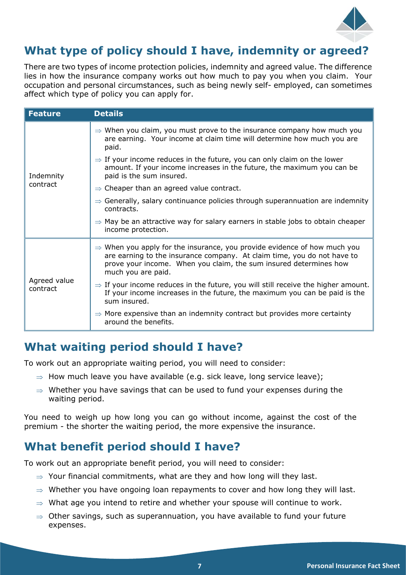

# **What type of policy should I have, indemnity or agreed?**

There are two types of income protection policies, indemnity and agreed value. The difference lies in how the insurance company works out how much to pay you when you claim. Your occupation and personal circumstances, such as being newly self- employed, can sometimes affect which type of policy you can apply for.

| <b>Feature</b>           | <b>Details</b>                                                                                                                                                                                                                                             |
|--------------------------|------------------------------------------------------------------------------------------------------------------------------------------------------------------------------------------------------------------------------------------------------------|
| Indemnity<br>contract    | $\Rightarrow$ When you claim, you must prove to the insurance company how much you<br>are earning. Your income at claim time will determine how much you are<br>paid.                                                                                      |
|                          | $\Rightarrow$ If your income reduces in the future, you can only claim on the lower<br>amount. If your income increases in the future, the maximum you can be<br>paid is the sum insured.                                                                  |
|                          | $\Rightarrow$ Cheaper than an agreed value contract.                                                                                                                                                                                                       |
|                          | $\Rightarrow$ Generally, salary continuance policies through superannuation are indemnity<br>contracts.                                                                                                                                                    |
|                          | $\Rightarrow$ May be an attractive way for salary earners in stable jobs to obtain cheaper<br>income protection.                                                                                                                                           |
| Agreed value<br>contract | $\Rightarrow$ When you apply for the insurance, you provide evidence of how much you<br>are earning to the insurance company. At claim time, you do not have to<br>prove your income. When you claim, the sum insured determines how<br>much you are paid. |
|                          | $\Rightarrow$ If your income reduces in the future, you will still receive the higher amount.<br>If your income increases in the future, the maximum you can be paid is the<br>sum insured.                                                                |
|                          | $\Rightarrow$ More expensive than an indemnity contract but provides more certainty<br>around the benefits.                                                                                                                                                |

# **What waiting period should I have?**

To work out an appropriate waiting period, you will need to consider:

- $\Rightarrow$  How much leave you have available (e.g. sick leave, long service leave);
- $\Rightarrow$  Whether you have savings that can be used to fund your expenses during the waiting period.

You need to weigh up how long you can go without income, against the cost of the premium - the shorter the waiting period, the more expensive the insurance.

# **What benefit period should I have?**

To work out an appropriate benefit period, you will need to consider:

- $\Rightarrow$  Your financial commitments, what are they and how long will they last.
- $\Rightarrow$  Whether you have ongoing loan repayments to cover and how long they will last.
- $\Rightarrow$  What age you intend to retire and whether your spouse will continue to work.
- $\Rightarrow$  Other savings, such as superannuation, you have available to fund your future expenses.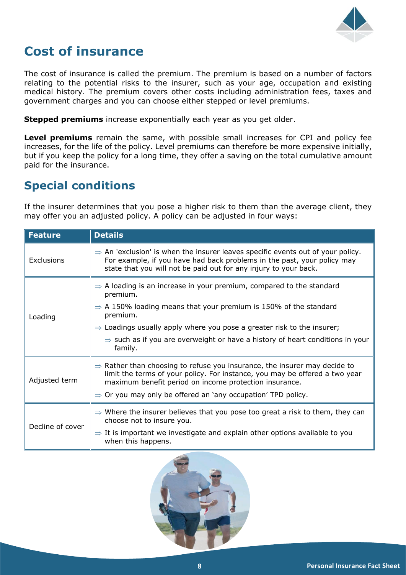

# **Cost of insurance**

The cost of insurance is called the premium. The premium is based on a number of factors relating to the potential risks to the insurer, such as your age, occupation and existing medical history. The premium covers other costs including administration fees, taxes and government charges and you can choose either stepped or level premiums.

**Stepped premiums** increase exponentially each year as you get older.

**Level premiums** remain the same, with possible small increases for CPI and policy fee increases, for the life of the policy. Level premiums can therefore be more expensive initially, but if you keep the policy for a long time, they offer a saving on the total cumulative amount paid for the insurance.

# **Special conditions**

If the insurer determines that you pose a higher risk to them than the average client, they may offer you an adjusted policy. A policy can be adjusted in four ways:

| <b>Feature</b>   | <b>Details</b>                                                                                                                                                                                                                                                                                             |
|------------------|------------------------------------------------------------------------------------------------------------------------------------------------------------------------------------------------------------------------------------------------------------------------------------------------------------|
| Exclusions       | $\Rightarrow$ An 'exclusion' is when the insurer leaves specific events out of your policy.<br>For example, if you have had back problems in the past, your policy may<br>state that you will not be paid out for any injury to your back.                                                                 |
| Loading          | $\Rightarrow$ A loading is an increase in your premium, compared to the standard<br>premium.<br>$\Rightarrow$ A 150% loading means that your premium is 150% of the standard<br>premium.                                                                                                                   |
|                  | $\Rightarrow$ Loadings usually apply where you pose a greater risk to the insurer;<br>$\Rightarrow$ such as if you are overweight or have a history of heart conditions in your<br>family.                                                                                                                 |
| Adjusted term    | $\Rightarrow$ Rather than choosing to refuse you insurance, the insurer may decide to<br>limit the terms of your policy. For instance, you may be offered a two year<br>maximum benefit period on income protection insurance.<br>$\Rightarrow$ Or you may only be offered an 'any occupation' TPD policy. |
| Decline of cover | $\Rightarrow$ Where the insurer believes that you pose too great a risk to them, they can<br>choose not to insure you.<br>$\Rightarrow$ It is important we investigate and explain other options available to you<br>when this happens.                                                                    |

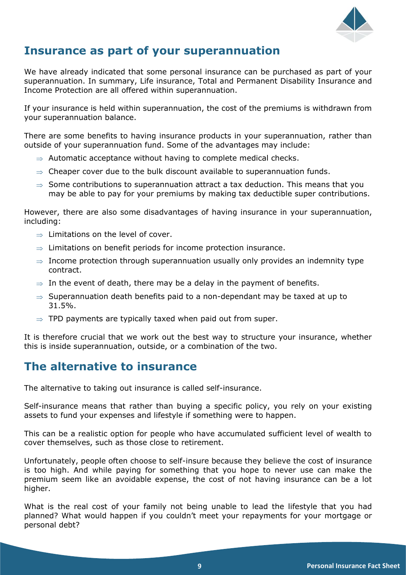

# **Insurance as part of your superannuation**

We have already indicated that some personal insurance can be purchased as part of your superannuation. In summary, Life insurance, Total and Permanent Disability Insurance and Income Protection are all offered within superannuation.

If your insurance is held within superannuation, the cost of the premiums is withdrawn from your superannuation balance.

There are some benefits to having insurance products in your superannuation, rather than outside of your superannuation fund. Some of the advantages may include:

- $\Rightarrow$  Automatic acceptance without having to complete medical checks.
- $\Rightarrow$  Cheaper cover due to the bulk discount available to superannuation funds.
- $\Rightarrow$  Some contributions to superannuation attract a tax deduction. This means that you may be able to pay for your premiums by making tax deductible super contributions.

However, there are also some disadvantages of having insurance in your superannuation, including:

- $\Rightarrow$  Limitations on the level of cover.
- $\Rightarrow$  Limitations on benefit periods for income protection insurance.
- $\Rightarrow$  Income protection through superannuation usually only provides an indemnity type contract.
- $\Rightarrow$  In the event of death, there may be a delay in the payment of benefits.
- $\Rightarrow$  Superannuation death benefits paid to a non-dependant may be taxed at up to 31.5%.
- $\Rightarrow$  TPD payments are typically taxed when paid out from super.

It is therefore crucial that we work out the best way to structure your insurance, whether this is inside superannuation, outside, or a combination of the two.

#### **The alternative to insurance**

The alternative to taking out insurance is called self-insurance.

Self-insurance means that rather than buying a specific policy, you rely on your existing assets to fund your expenses and lifestyle if something were to happen.

This can be a realistic option for people who have accumulated sufficient level of wealth to cover themselves, such as those close to retirement.

Unfortunately, people often choose to self-insure because they believe the cost of insurance is too high. And while paying for something that you hope to never use can make the premium seem like an avoidable expense, the cost of not having insurance can be a lot higher.

What is the real cost of your family not being unable to lead the lifestyle that you had planned? What would happen if you couldn't meet your repayments for your mortgage or personal debt?